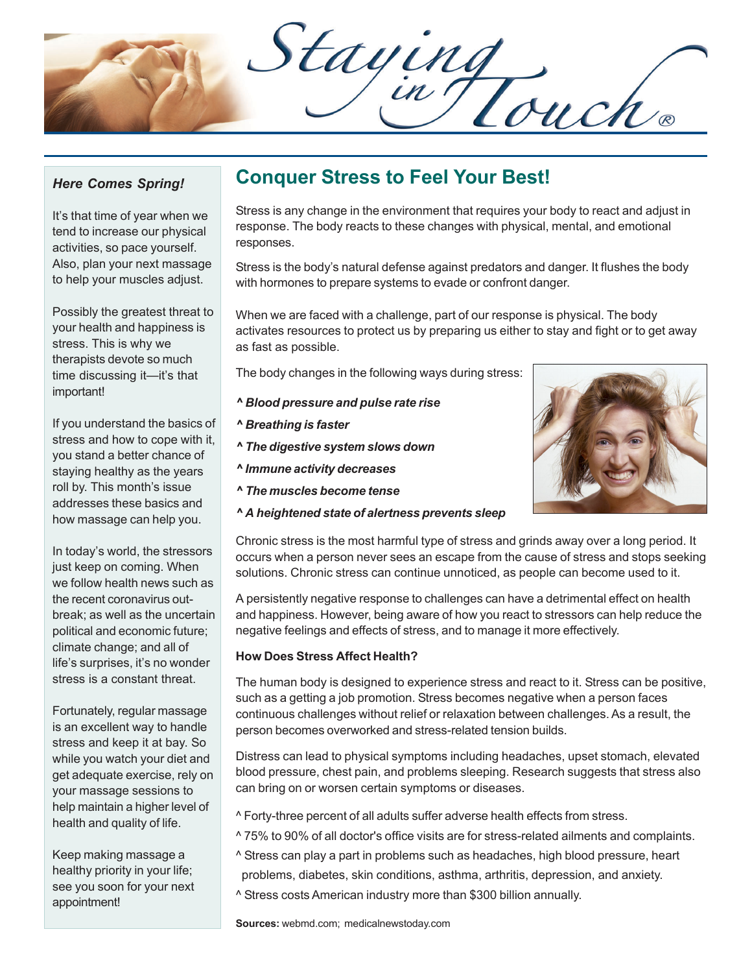Staying<br>Din Touch

#### *Here Comes Spring!*

It's that time of year when we tend to increase our physical activities, so pace yourself. Also, plan your next massage to help your muscles adjust.

Possibly the greatest threat to your health and happiness is stress. This is why we therapists devote so much time discussing it—it's that important!

If you understand the basics of stress and how to cope with it, you stand a better chance of staying healthy as the years roll by. This month's issue addresses these basics and how massage can help you.

In today's world, the stressors just keep on coming. When we follow health news such as the recent coronavirus outbreak; as well as the uncertain political and economic future; climate change; and all of life's surprises, it's no wonder stress is a constant threat.

Fortunately, regular massage is an excellent way to handle stress and keep it at bay. So while you watch your diet and get adequate exercise, rely on your massage sessions to help maintain a higher level of health and quality of life.

Keep making massage a healthy priority in your life; see you soon for your next appointment!

## **Conquer Stress to Feel Your Best!**

Stress is any change in the environment that requires your body to react and adjust in response. The body reacts to these changes with physical, mental, and emotional responses.

Stress is the body's natural defense against predators and danger. It flushes the body with hormones to prepare systems to evade or confront danger.

When we are faced with a challenge, part of our response is physical. The body activates resources to protect us by preparing us either to stay and fight or to get away as fast as possible.

The body changes in the following ways during stress:

- *^ Blood pressure and pulse rate rise*
- *^ Breathing is faster*
- *^ The digestive system slows down*
- *^ Immune activity decreases*
- *^ The muscles become tense*
- *^ A heightened state of alertness prevents sleep*

Chronic stress is the most harmful type of stress and grinds away over a long period. It occurs when a person never sees an escape from the cause of stress and stops seeking solutions. Chronic stress can continue unnoticed, as people can become used to it.

A persistently negative response to challenges can have a detrimental effect on health and happiness. However, being aware of how you react to stressors can help reduce the negative feelings and effects of stress, and to manage it more effectively.

#### **How Does Stress Affect Health?**

The human body is designed to experience stress and react to it. Stress can be positive, such as a getting a job promotion. Stress becomes negative when a person faces continuous challenges without relief or relaxation between challenges. As a result, the person becomes overworked and stress-related tension builds.

Distress can lead to physical symptoms including headaches, upset stomach, elevated blood pressure, chest pain, and problems sleeping. Research suggests that stress also can bring on or worsen certain symptoms or diseases.

- ^ Forty-three percent of all adults suffer adverse health effects from stress.
- ^ 75% to 90% of all doctor's office visits are for stress-related ailments and complaints.
- ^ Stress can play a part in problems such as headaches, high blood pressure, heart
- problems, diabetes, skin conditions, asthma, arthritis, depression, and anxiety.
- ^ Stress costs American industry more than \$300 billion annually.